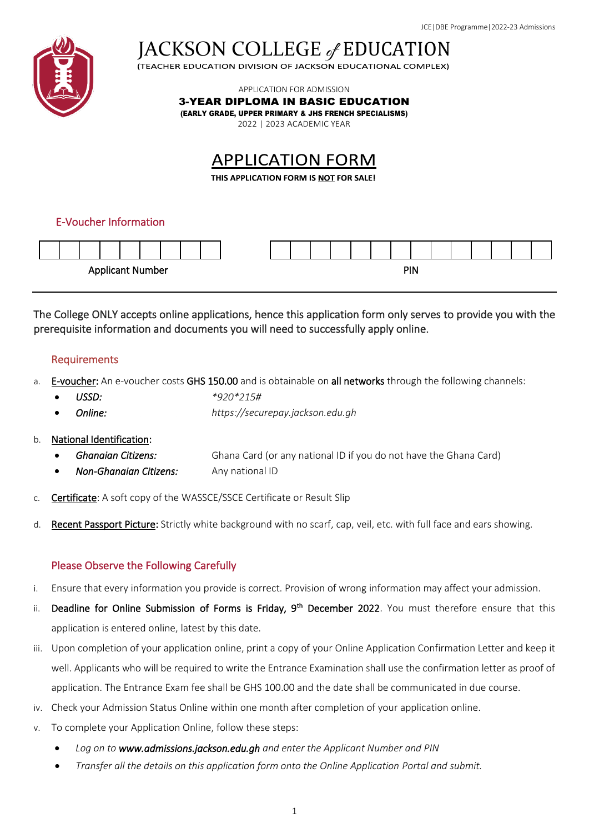

JACKSON COLLEGE of EDUCATION

APPLICATION FOR ADMISSION

3-YEAR DIPLOMA IN BASIC EDUCATION

(EARLY GRADE, UPPER PRIMARY & JHS FRENCH SPECIALISMS)

2022 | 2023 ACADEMIC YEAR

# **APPLICATION FORM**

THIS APPLICATION FORM IS NOT FOR SALE!

# E-Voucher Information



The College ONLY accepts online applications, hence this application form only serves to provide you with the prerequisite information and documents you will need to successfully apply online.

# Requirements

- a. E-voucher: An e-voucher costs GHS 150.00 and is obtainable on all networks through the following channels:
	- *USSD: \*920\*215#*
	- *Online: https://securepay.jackson.edu.gh*

# b. National Identification:

- *Ghanaian Citizens:* Ghana Card (or any national ID if you do not have the Ghana Card)
- *Non-Ghanaian Citizens:* Any national ID
- c. Certificate: A soft copy of the WASSCE/SSCE Certificate or Result Slip
- d. Recent Passport Picture: Strictly white background with no scarf, cap, veil, etc. with full face and ears showing.

# Please Observe the Following Carefully

- i. Ensure that every information you provide is correct. Provision of wrong information may affect your admission.
- ii. Deadline for Online Submission of Forms is Friday, 9<sup>th</sup> December 2022. You must therefore ensure that this application is entered online, latest by this date.
- iii. Upon completion of your application online, print a copy of your Online Application Confirmation Letter and keep it well. Applicants who will be required to write the Entrance Examination shall use the confirmation letter as proof of application. The Entrance Exam fee shall be GHS 100.00 and the date shall be communicated in due course.
- iv. Check your Admission Status Online within one month after completion of your application online.
- v. To complete your Application Online, follow these steps:
	- *Log on to www.admissions.jackson.edu.gh and enter the Applicant Number and PIN*
	- *Transfer all the details on this application form onto the Online Application Portal and submit.*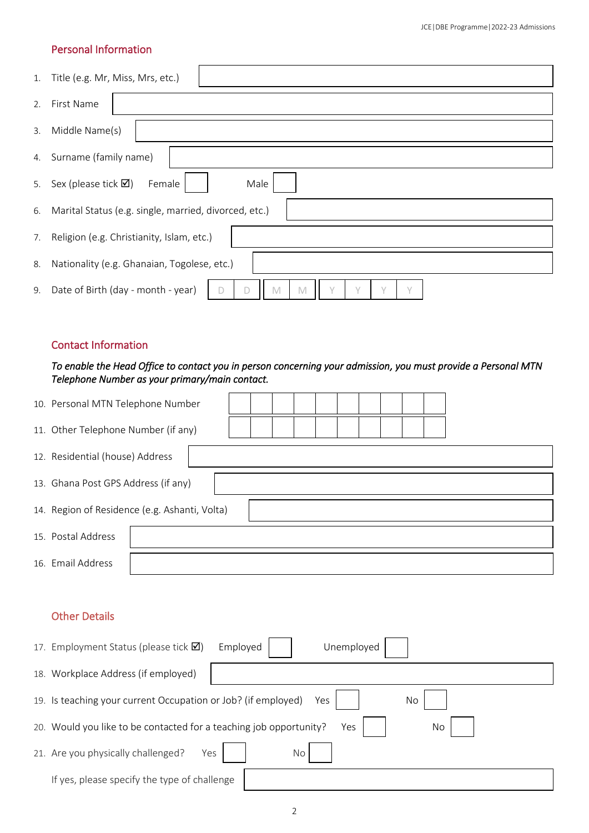#### Personal Information

|    | 1. Title (e.g. Mr, Miss, Mrs, etc.)                       |
|----|-----------------------------------------------------------|
| 2. | First Name                                                |
| 3. | Middle Name(s)                                            |
| 4. | Surname (family name)                                     |
| 5. | Sex (please tick $\boxtimes$ )<br>Male<br>Female          |
| 6. | Marital Status (e.g. single, married, divorced, etc.)     |
| 7. | Religion (e.g. Christianity, Islam, etc.)                 |
| 8. | Nationality (e.g. Ghanaian, Togolese, etc.)               |
| 9. | Date of Birth (day - month - year)<br>$\sqrt{}$<br>V<br>M |

#### Contact Information

#### *To enable the Head Office to contact you in person concerning your admission, you must provide a Personal MTN Telephone Number as your primary/main contact.*

| 10. Personal MTN Telephone Number   |                                               |  |  |  |  |  |  |  |  |  |  |  |
|-------------------------------------|-----------------------------------------------|--|--|--|--|--|--|--|--|--|--|--|
| 11. Other Telephone Number (if any) |                                               |  |  |  |  |  |  |  |  |  |  |  |
| 12. Residential (house) Address     |                                               |  |  |  |  |  |  |  |  |  |  |  |
| 13. Ghana Post GPS Address (if any) |                                               |  |  |  |  |  |  |  |  |  |  |  |
|                                     | 14. Region of Residence (e.g. Ashanti, Volta) |  |  |  |  |  |  |  |  |  |  |  |
| 15. Postal Address                  |                                               |  |  |  |  |  |  |  |  |  |  |  |
| 16. Email Address                   |                                               |  |  |  |  |  |  |  |  |  |  |  |

# Other Details

| 17. Employment Status (please tick Ø)                                           | Employed | Unemployed |  |  |  |  |  |  |  |
|---------------------------------------------------------------------------------|----------|------------|--|--|--|--|--|--|--|
| 18. Workplace Address (if employed)                                             |          |            |  |  |  |  |  |  |  |
| 19. Is teaching your current Occupation or Job? (if employed)<br>No<br>Yes      |          |            |  |  |  |  |  |  |  |
| 20. Would you like to be contacted for a teaching job opportunity?<br>No<br>Yes |          |            |  |  |  |  |  |  |  |
| 21. Are you physically challenged?<br>Yes                                       |          | <b>No</b>  |  |  |  |  |  |  |  |
| If yes, please specify the type of challenge                                    |          |            |  |  |  |  |  |  |  |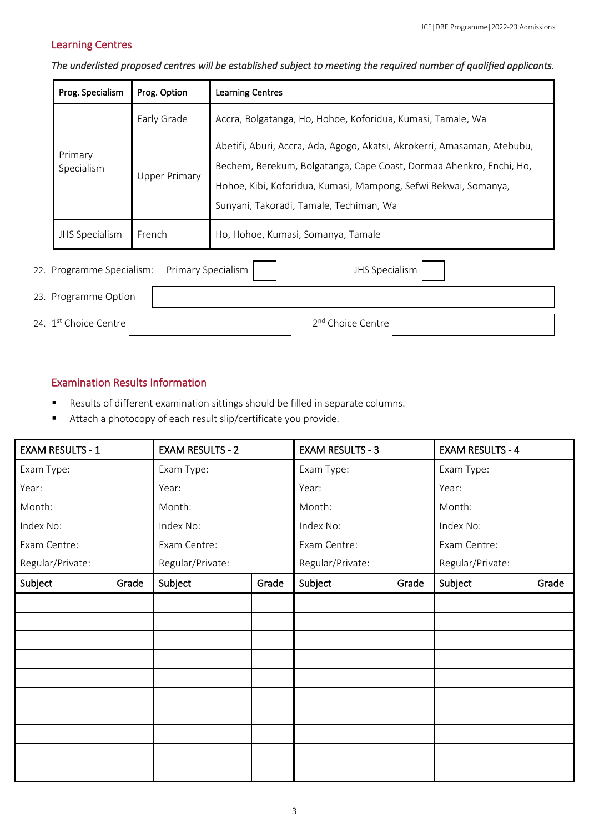# Learning Centres

| Prog. Specialism                                                         | Prog. Option         | <b>Learning Centres</b>                                                                                                                                                                                                                                       |  |  |  |  |
|--------------------------------------------------------------------------|----------------------|---------------------------------------------------------------------------------------------------------------------------------------------------------------------------------------------------------------------------------------------------------------|--|--|--|--|
|                                                                          | Early Grade          | Accra, Bolgatanga, Ho, Hohoe, Koforidua, Kumasi, Tamale, Wa                                                                                                                                                                                                   |  |  |  |  |
| Primary<br>Specialism                                                    | <b>Upper Primary</b> | Abetifi, Aburi, Accra, Ada, Agogo, Akatsi, Akrokerri, Amasaman, Atebubu,<br>Bechem, Berekum, Bolgatanga, Cape Coast, Dormaa Ahenkro, Enchi, Ho,<br>Hohoe, Kibi, Koforidua, Kumasi, Mampong, Sefwi Bekwai, Somanya,<br>Sunyani, Takoradi, Tamale, Techiman, Wa |  |  |  |  |
| <b>JHS Specialism</b>                                                    | French               | Ho, Hohoe, Kumasi, Somanya, Tamale                                                                                                                                                                                                                            |  |  |  |  |
| Primary Specialism<br><b>JHS Specialism</b><br>22. Programme Specialism: |                      |                                                                                                                                                                                                                                                               |  |  |  |  |

*The underlisted proposed centres will be established subject to meeting the required number of qualified applicants.* 

| 22. Trogramme Specialism. Trimiary Specialism | and opeciation                |  |
|-----------------------------------------------|-------------------------------|--|
| 23. Programme Option                          |                               |  |
| 24. 1st Choice Centre                         | 2 <sup>nd</sup> Choice Centre |  |

#### Examination Results Information

- Results of different examination sittings should be filled in separate columns.
- Attach a photocopy of each result slip/certificate you provide.

| <b>EXAM RESULTS - 1</b> |       | <b>EXAM RESULTS - 2</b> |       | <b>EXAM RESULTS - 3</b> |       | <b>EXAM RESULTS - 4</b> |       |  |
|-------------------------|-------|-------------------------|-------|-------------------------|-------|-------------------------|-------|--|
| Exam Type:              |       | Exam Type:              |       | Exam Type:              |       | Exam Type:              |       |  |
| Year:                   |       | Year:                   |       | Year:                   |       | Year:                   |       |  |
| Month:                  |       | Month:                  |       | Month:                  |       | Month:                  |       |  |
| Index No:               |       | Index No:               |       | Index No:               |       | Index No:               |       |  |
| Exam Centre:            |       | Exam Centre:            |       | Exam Centre:            |       | Exam Centre:            |       |  |
| Regular/Private:        |       | Regular/Private:        |       | Regular/Private:        |       | Regular/Private:        |       |  |
| Subject                 | Grade | Subject                 | Grade | Subject                 | Grade | Subject                 | Grade |  |
|                         |       |                         |       |                         |       |                         |       |  |
|                         |       |                         |       |                         |       |                         |       |  |
|                         |       |                         |       |                         |       |                         |       |  |
|                         |       |                         |       |                         |       |                         |       |  |
|                         |       |                         |       |                         |       |                         |       |  |
|                         |       |                         |       |                         |       |                         |       |  |
|                         |       |                         |       |                         |       |                         |       |  |
|                         |       |                         |       |                         |       |                         |       |  |
|                         |       |                         |       |                         |       |                         |       |  |
|                         |       |                         |       |                         |       |                         |       |  |